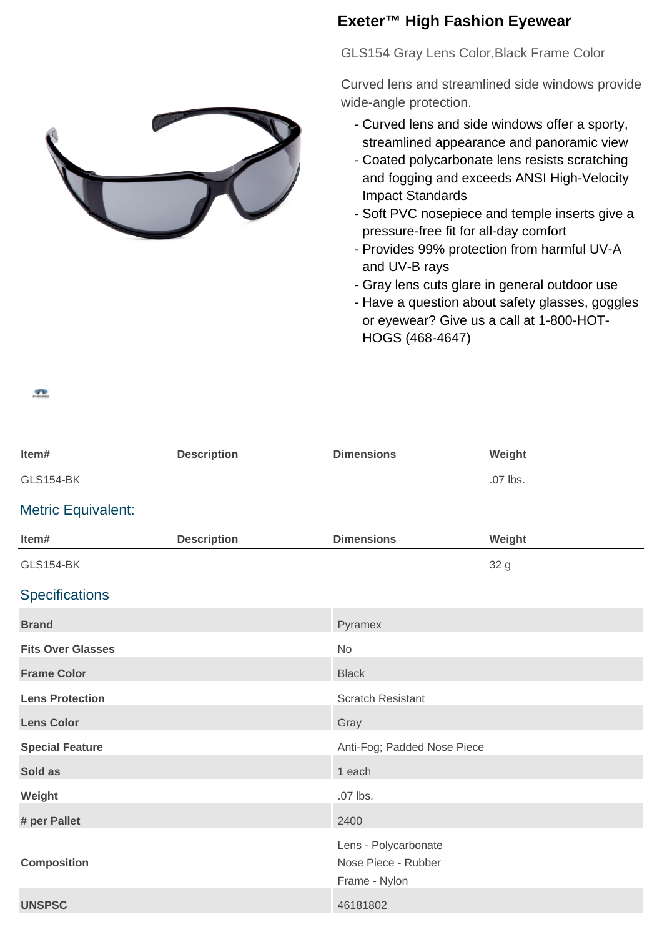## **Exeter™ High Fashion Eyewear**

GLS154 Gray Lens Color,Black Frame Color

Curved lens and streamlined side windows provide wide-angle protection.

- Curved lens and side windows offer a sporty, streamlined appearance and panoramic view
- Coated polycarbonate lens resists scratching and fogging and exceeds ANSI High-Velocity Impact Standards
- Soft PVC nosepiece and temple inserts give a pressure-free fit for all-day comfort
- Provides 99% protection from harmful UV-A and UV-B rays
- Gray lens cuts glare in general outdoor use
- Have a question about safety glasses, goggles or eyewear? Give us a call at 1-800-HOT-HOGS (468-4647)



| Item#                     | <b>Description</b> | <b>Dimensions</b>                                            | Weight   |
|---------------------------|--------------------|--------------------------------------------------------------|----------|
| <b>GLS154-BK</b>          |                    |                                                              | .07 lbs. |
| <b>Metric Equivalent:</b> |                    |                                                              |          |
| Item#                     | <b>Description</b> | <b>Dimensions</b>                                            | Weight   |
| <b>GLS154-BK</b>          |                    |                                                              | 32 g     |
| <b>Specifications</b>     |                    |                                                              |          |
| <b>Brand</b>              |                    | Pyramex                                                      |          |
| <b>Fits Over Glasses</b>  |                    | No                                                           |          |
| <b>Frame Color</b>        |                    | <b>Black</b>                                                 |          |
| <b>Lens Protection</b>    |                    | <b>Scratch Resistant</b>                                     |          |
| <b>Lens Color</b>         |                    | Gray                                                         |          |
| <b>Special Feature</b>    |                    | Anti-Fog; Padded Nose Piece                                  |          |
| Sold as                   |                    | 1 each                                                       |          |
| Weight                    |                    | .07 lbs.                                                     |          |
| # per Pallet              |                    | 2400                                                         |          |
| <b>Composition</b>        |                    | Lens - Polycarbonate<br>Nose Piece - Rubber<br>Frame - Nylon |          |
| <b>UNSPSC</b>             |                    | 46181802                                                     |          |
|                           |                    |                                                              |          |